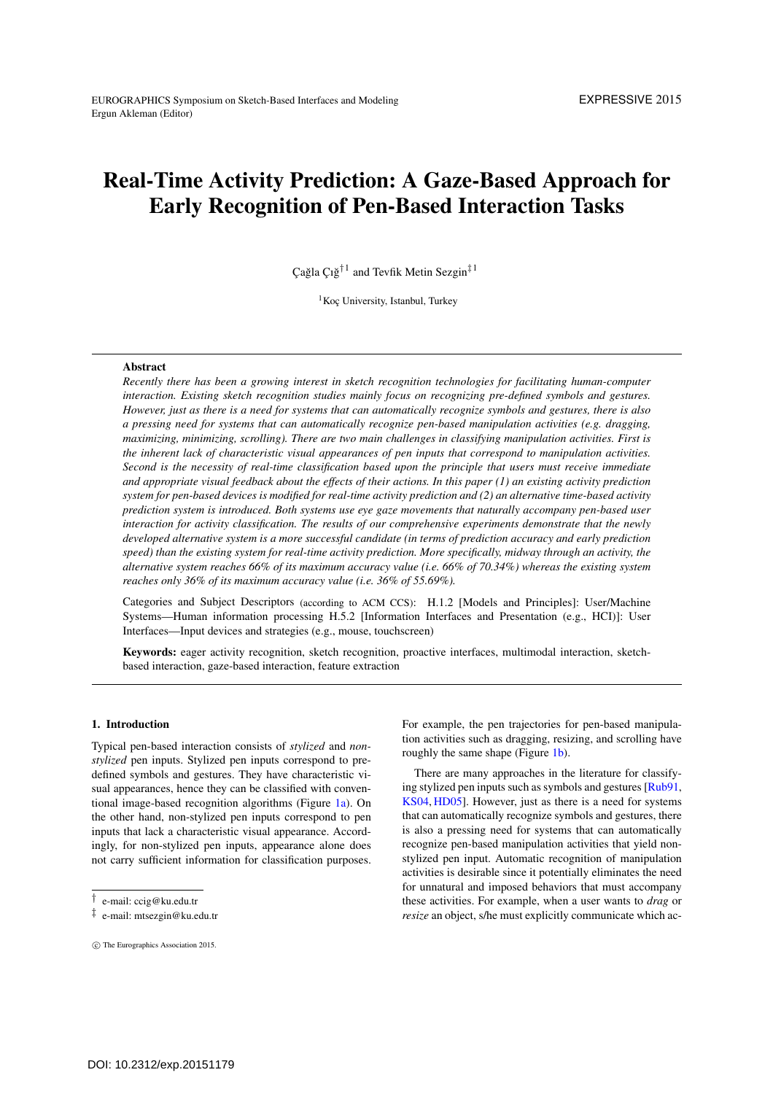# <span id="page-0-0"></span>Real-Time Activity Prediction: A Gaze-Based Approach for Early Recognition of Pen-Based Interaction Tasks

Cağla  $Ci\breve{g}^{\dagger 1}$  and Tevfik Metin Sezgin<sup>‡1</sup>

<sup>1</sup>Koç University, Istanbul, Turkey

#### **Abstract**

*Recently there has been a growing interest in sketch recognition technologies for facilitating human-computer interaction. Existing sketch recognition studies mainly focus on recognizing pre-defined symbols and gestures. However, just as there is a need for systems that can automatically recognize symbols and gestures, there is also a pressing need for systems that can automatically recognize pen-based manipulation activities (e.g. dragging, maximizing, minimizing, scrolling). There are two main challenges in classifying manipulation activities. First is the inherent lack of characteristic visual appearances of pen inputs that correspond to manipulation activities. Second is the necessity of real-time classification based upon the principle that users must receive immediate and appropriate visual feedback about the effects of their actions. In this paper (1) an existing activity prediction system for pen-based devices is modified for real-time activity prediction and (2) an alternative time-based activity prediction system is introduced. Both systems use eye gaze movements that naturally accompany pen-based user interaction for activity classification. The results of our comprehensive experiments demonstrate that the newly developed alternative system is a more successful candidate (in terms of prediction accuracy and early prediction speed) than the existing system for real-time activity prediction. More specifically, midway through an activity, the alternative system reaches 66% of its maximum accuracy value (i.e. 66% of 70.34%) whereas the existing system reaches only 36% of its maximum accuracy value (i.e. 36% of 55.69%).*

Categories and Subject Descriptors (according to ACM CCS): H.1.2 [Models and Principles]: User/Machine Systems—Human information processing H.5.2 [Information Interfaces and Presentation (e.g., HCI)]: User Interfaces—Input devices and strategies (e.g., mouse, touchscreen)

Keywords: eager activity recognition, sketch recognition, proactive interfaces, multimodal interaction, sketchbased interaction, gaze-based interaction, feature extraction

#### 1. Introduction

Typical pen-based interaction consists of *stylized* and *nonstylized* pen inputs. Stylized pen inputs correspond to predefined symbols and gestures. They have characteristic visual appearances, hence they can be classified with conventional image-based recognition algorithms (Figure [1a\)](#page-1-0). On the other hand, non-stylized pen inputs correspond to pen inputs that lack a characteristic visual appearance. Accordingly, for non-stylized pen inputs, appearance alone does not carry sufficient information for classification purposes.

c The Eurographics Association 2015.

For example, the pen trajectories for pen-based manipulation activities such as dragging, resizing, and scrolling have roughly the same shape (Figure [1b\)](#page-1-0).

There are many approaches in the literature for classifying stylized pen inputs such as symbols and gestures [\[Rub91,](#page-6-0) [KS04,](#page-5-0) [HD05\]](#page-5-1). However, just as there is a need for systems that can automatically recognize symbols and gestures, there is also a pressing need for systems that can automatically recognize pen-based manipulation activities that yield nonstylized pen input. Automatic recognition of manipulation activities is desirable since it potentially eliminates the need for unnatural and imposed behaviors that must accompany these activities. For example, when a user wants to *drag* or *resize* an object, s/he must explicitly communicate which ac-

<sup>†</sup> e-mail: ccig@ku.edu.tr

<sup>‡</sup> e-mail: mtsezgin@ku.edu.tr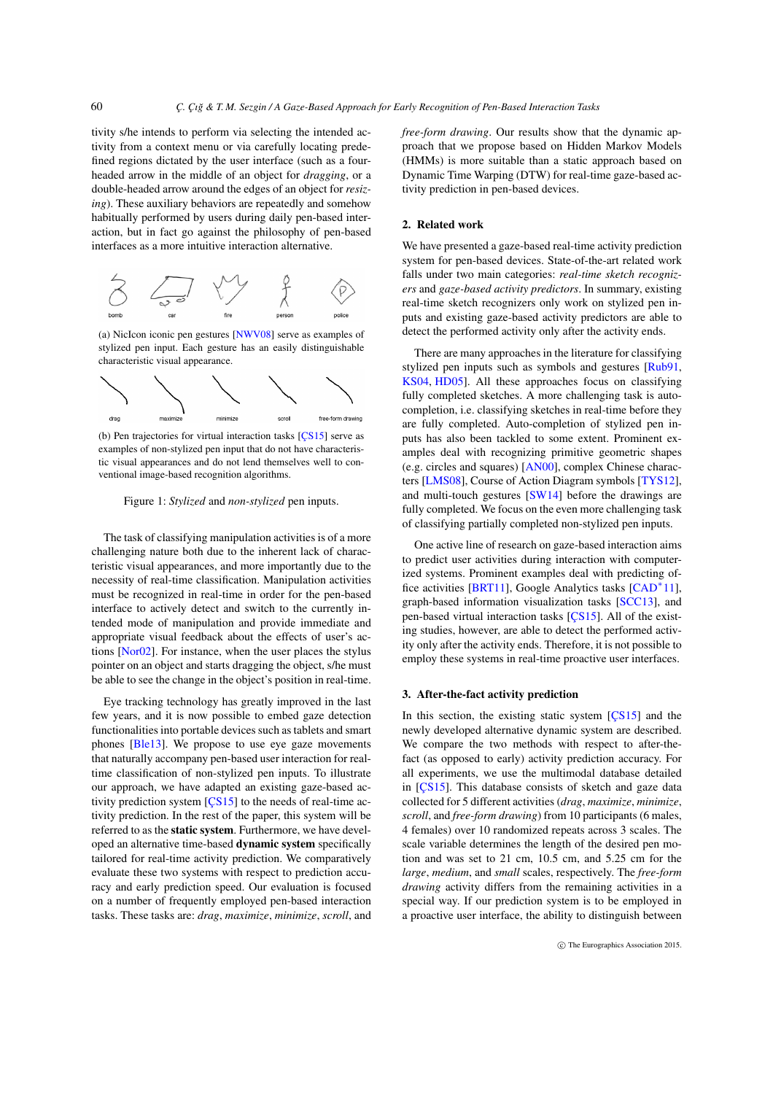tivity s/he intends to perform via selecting the intended activity from a context menu or via carefully locating predefined regions dictated by the user interface (such as a fourheaded arrow in the middle of an object for *dragging*, or a double-headed arrow around the edges of an object for *resizing*). These auxiliary behaviors are repeatedly and somehow habitually performed by users during daily pen-based interaction, but in fact go against the philosophy of pen-based interfaces as a more intuitive interaction alternative.

<span id="page-1-1"></span>60

<span id="page-1-0"></span>

(a) NicIcon iconic pen gestures [\[NWV08\]](#page-5-2) serve as examples of stylized pen input. Each gesture has an easily distinguishable characteristic visual appearance.



(b) Pen trajectories for virtual interaction tasks [\[ÇS15\]](#page-5-3) serve as examples of non-stylized pen input that do not have characteristic visual appearances and do not lend themselves well to conventional image-based recognition algorithms.

Figure 1: *Stylized* and *non-stylized* pen inputs.

The task of classifying manipulation activities is of a more challenging nature both due to the inherent lack of characteristic visual appearances, and more importantly due to the necessity of real-time classification. Manipulation activities must be recognized in real-time in order for the pen-based interface to actively detect and switch to the currently intended mode of manipulation and provide immediate and appropriate visual feedback about the effects of user's actions [\[Nor02\]](#page-5-4). For instance, when the user places the stylus pointer on an object and starts dragging the object, s/he must be able to see the change in the object's position in real-time.

Eye tracking technology has greatly improved in the last few years, and it is now possible to embed gaze detection functionalities into portable devices such as tablets and smart phones [\[Ble13\]](#page-5-5). We propose to use eye gaze movements that naturally accompany pen-based user interaction for realtime classification of non-stylized pen inputs. To illustrate our approach, we have adapted an existing gaze-based activity prediction system [\[ÇS15\]](#page-5-3) to the needs of real-time activity prediction. In the rest of the paper, this system will be referred to as the static system. Furthermore, we have developed an alternative time-based dynamic system specifically tailored for real-time activity prediction. We comparatively evaluate these two systems with respect to prediction accuracy and early prediction speed. Our evaluation is focused on a number of frequently employed pen-based interaction tasks. These tasks are: *drag*, *maximize*, *minimize*, *scroll*, and *free-form drawing*. Our results show that the dynamic approach that we propose based on Hidden Markov Models (HMMs) is more suitable than a static approach based on Dynamic Time Warping (DTW) for real-time gaze-based activity prediction in pen-based devices.

#### 2. Related work

We have presented a gaze-based real-time activity prediction system for pen-based devices. State-of-the-art related work falls under two main categories: *real-time sketch recognizers* and *gaze-based activity predictors*. In summary, existing real-time sketch recognizers only work on stylized pen inputs and existing gaze-based activity predictors are able to detect the performed activity only after the activity ends.

There are many approaches in the literature for classifying stylized pen inputs such as symbols and gestures [\[Rub91,](#page-6-0) [KS04,](#page-5-0) [HD05\]](#page-5-1). All these approaches focus on classifying fully completed sketches. A more challenging task is autocompletion, i.e. classifying sketches in real-time before they are fully completed. Auto-completion of stylized pen inputs has also been tackled to some extent. Prominent examples deal with recognizing primitive geometric shapes (e.g. circles and squares) [\[AN00\]](#page-5-6), complex Chinese characters [\[LMS08\]](#page-5-7), Course of Action Diagram symbols [\[TYS12\]](#page-6-1), and multi-touch gestures [\[SW14\]](#page-6-2) before the drawings are fully completed. We focus on the even more challenging task of classifying partially completed non-stylized pen inputs.

One active line of research on gaze-based interaction aims to predict user activities during interaction with computerized systems. Prominent examples deal with predicting office activities [\[BRT11\]](#page-5-8), Google Analytics tasks [\[CAD](#page-5-9)∗11], graph-based information visualization tasks [\[SCC13\]](#page-6-3), and pen-based virtual interaction tasks [\[ÇS15\]](#page-5-3). All of the existing studies, however, are able to detect the performed activity only after the activity ends. Therefore, it is not possible to employ these systems in real-time proactive user interfaces.

#### 3. After-the-fact activity prediction

In this section, the existing static system [\[ÇS15\]](#page-5-3) and the newly developed alternative dynamic system are described. We compare the two methods with respect to after-thefact (as opposed to early) activity prediction accuracy. For all experiments, we use the multimodal database detailed in [\[ÇS15\]](#page-5-3). This database consists of sketch and gaze data collected for 5 different activities (*drag*, *maximize*, *minimize*, *scroll*, and *free-form drawing*) from 10 participants (6 males, 4 females) over 10 randomized repeats across 3 scales. The scale variable determines the length of the desired pen motion and was set to 21 cm, 10.5 cm, and 5.25 cm for the *large*, *medium*, and *small* scales, respectively. The *free-form drawing* activity differs from the remaining activities in a special way. If our prediction system is to be employed in a proactive user interface, the ability to distinguish between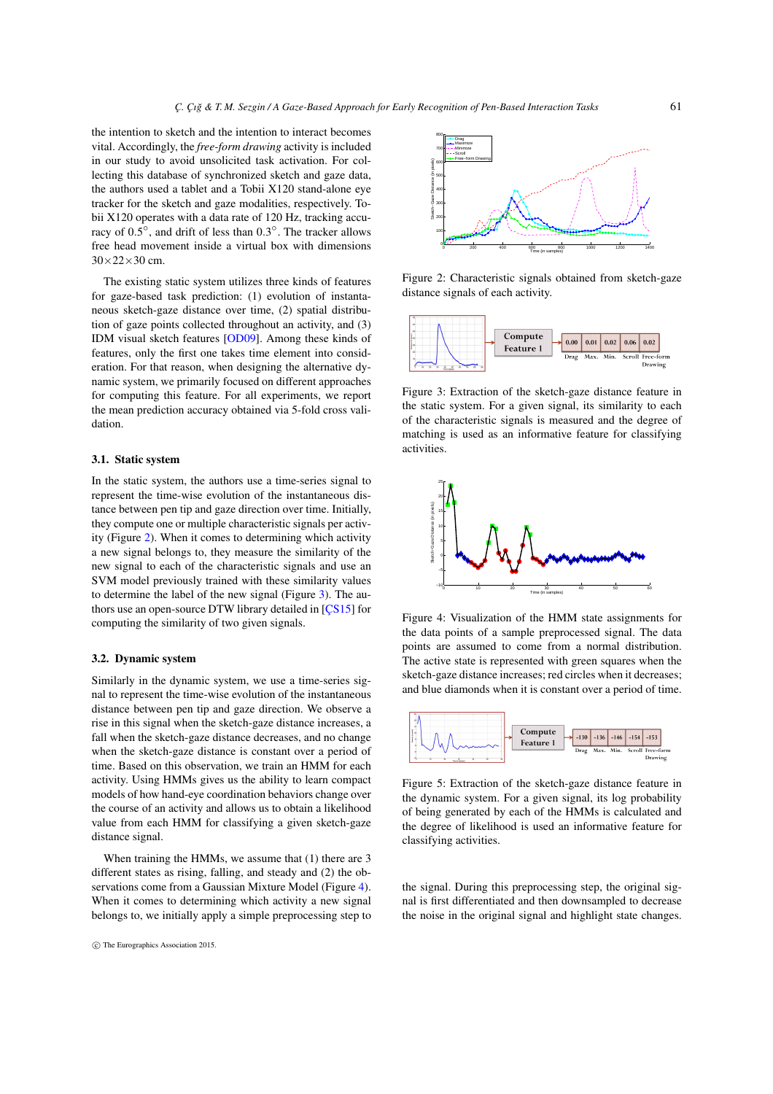<span id="page-2-4"></span>the intention to sketch and the intention to interact becomes vital. Accordingly, the *free-form drawing* activity is included in our study to avoid unsolicited task activation. For collecting this database of synchronized sketch and gaze data, the authors used a tablet and a Tobii X120 stand-alone eye tracker for the sketch and gaze modalities, respectively. Tobii X120 operates with a data rate of 120 Hz, tracking accuracy of 0.5◦, and drift of less than 0.3◦. The tracker allows free head movement inside a virtual box with dimensions  $30\times22\times30$  cm.

The existing static system utilizes three kinds of features for gaze-based task prediction: (1) evolution of instantaneous sketch-gaze distance over time, (2) spatial distribution of gaze points collected throughout an activity, and (3) IDM visual sketch features [\[OD09\]](#page-6-4). Among these kinds of features, only the first one takes time element into consideration. For that reason, when designing the alternative dynamic system, we primarily focused on different approaches for computing this feature. For all experiments, we report the mean prediction accuracy obtained via 5-fold cross validation.

## 3.1. Static system

In the static system, the authors use a time-series signal to represent the time-wise evolution of the instantaneous distance between pen tip and gaze direction over time. Initially, they compute one or multiple characteristic signals per activity (Figure [2\)](#page-2-0). When it comes to determining which activity a new signal belongs to, they measure the similarity of the new signal to each of the characteristic signals and use an SVM model previously trained with these similarity values to determine the label of the new signal (Figure [3\)](#page-2-1). The authors use an open-source DTW library detailed in [\[ÇS15\]](#page-5-3) for computing the similarity of two given signals.

#### 3.2. Dynamic system

Similarly in the dynamic system, we use a time-series signal to represent the time-wise evolution of the instantaneous distance between pen tip and gaze direction. We observe a rise in this signal when the sketch-gaze distance increases, a fall when the sketch-gaze distance decreases, and no change when the sketch-gaze distance is constant over a period of time. Based on this observation, we train an HMM for each activity. Using HMMs gives us the ability to learn compact models of how hand-eye coordination behaviors change over the course of an activity and allows us to obtain a likelihood value from each HMM for classifying a given sketch-gaze distance signal.

When training the HMMs, we assume that (1) there are 3 different states as rising, falling, and steady and (2) the observations come from a Gaussian Mixture Model (Figure [4\)](#page-2-2). When it comes to determining which activity a new signal belongs to, we initially apply a simple preprocessing step to

<span id="page-2-0"></span>

<span id="page-2-1"></span>Figure 2: Characteristic signals obtained from sketch-gaze distance signals of each activity.



Figure 3: Extraction of the sketch-gaze distance feature in the static system. For a given signal, its similarity to each of the characteristic signals is measured and the degree of matching is used as an informative feature for classifying activities.

<span id="page-2-2"></span>

Figure 4: Visualization of the HMM state assignments for the data points of a sample preprocessed signal. The data points are assumed to come from a normal distribution. The active state is represented with green squares when the sketch-gaze distance increases; red circles when it decreases; and blue diamonds when it is constant over a period of time.

<span id="page-2-3"></span>

Figure 5: Extraction of the sketch-gaze distance feature in the dynamic system. For a given signal, its log probability of being generated by each of the HMMs is calculated and the degree of likelihood is used an informative feature for classifying activities.

the signal. During this preprocessing step, the original signal is first differentiated and then downsampled to decrease the noise in the original signal and highlight state changes.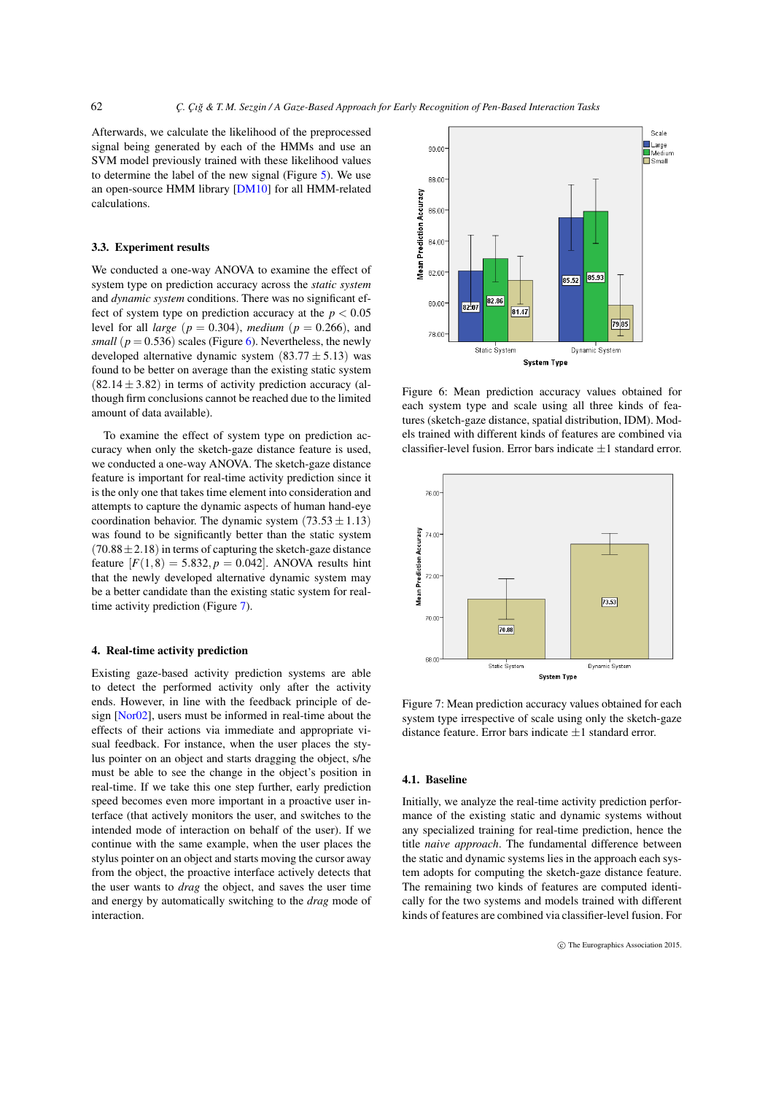<span id="page-3-2"></span>Afterwards, we calculate the likelihood of the preprocessed signal being generated by each of the HMMs and use an SVM model previously trained with these likelihood values to determine the label of the new signal (Figure [5\)](#page-2-3). We use an open-source HMM library [\[DM10\]](#page-5-10) for all HMM-related calculations.

#### 3.3. Experiment results

We conducted a one-way ANOVA to examine the effect of system type on prediction accuracy across the *static system* and *dynamic system* conditions. There was no significant effect of system type on prediction accuracy at the  $p < 0.05$ level for all *large* ( $p = 0.304$ ), *medium* ( $p = 0.266$ ), and *small* ( $p = 0.536$ ) scales (Figure [6\)](#page-3-0). Nevertheless, the newly developed alternative dynamic system  $(83.77 \pm 5.13)$  was found to be better on average than the existing static system  $(82.14 \pm 3.82)$  in terms of activity prediction accuracy (although firm conclusions cannot be reached due to the limited amount of data available).

To examine the effect of system type on prediction accuracy when only the sketch-gaze distance feature is used, we conducted a one-way ANOVA. The sketch-gaze distance feature is important for real-time activity prediction since it is the only one that takes time element into consideration and attempts to capture the dynamic aspects of human hand-eye coordination behavior. The dynamic system  $(73.53 \pm 1.13)$ was found to be significantly better than the static system  $(70.88 \pm 2.18)$  in terms of capturing the sketch-gaze distance feature  $[F(1,8) = 5.832, p = 0.042]$ . ANOVA results hint that the newly developed alternative dynamic system may be a better candidate than the existing static system for realtime activity prediction (Figure [7\)](#page-3-1).

# 4. Real-time activity prediction

Existing gaze-based activity prediction systems are able to detect the performed activity only after the activity ends. However, in line with the feedback principle of design [\[Nor02\]](#page-5-4), users must be informed in real-time about the effects of their actions via immediate and appropriate visual feedback. For instance, when the user places the stylus pointer on an object and starts dragging the object, s/he must be able to see the change in the object's position in real-time. If we take this one step further, early prediction speed becomes even more important in a proactive user interface (that actively monitors the user, and switches to the intended mode of interaction on behalf of the user). If we continue with the same example, when the user places the stylus pointer on an object and starts moving the cursor away from the object, the proactive interface actively detects that the user wants to *drag* the object, and saves the user time and energy by automatically switching to the *drag* mode of interaction.

<span id="page-3-0"></span>

Figure 6: Mean prediction accuracy values obtained for each system type and scale using all three kinds of features (sketch-gaze distance, spatial distribution, IDM). Models trained with different kinds of features are combined via classifier-level fusion. Error bars indicate  $\pm 1$  standard error.

<span id="page-3-1"></span>

Figure 7: Mean prediction accuracy values obtained for each system type irrespective of scale using only the sketch-gaze distance feature. Error bars indicate  $\pm 1$  standard error.

## 4.1. Baseline

Initially, we analyze the real-time activity prediction performance of the existing static and dynamic systems without any specialized training for real-time prediction, hence the title *naive approach*. The fundamental difference between the static and dynamic systems lies in the approach each system adopts for computing the sketch-gaze distance feature. The remaining two kinds of features are computed identically for the two systems and models trained with different kinds of features are combined via classifier-level fusion. For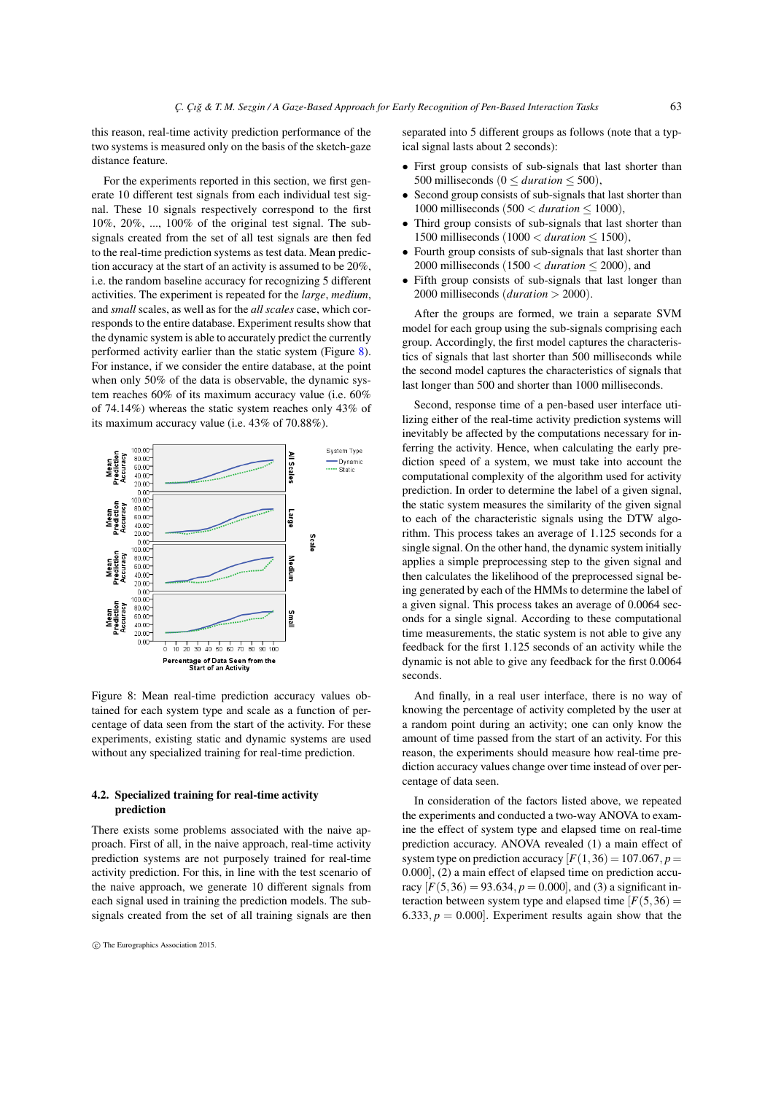this reason, real-time activity prediction performance of the two systems is measured only on the basis of the sketch-gaze distance feature.

For the experiments reported in this section, we first generate 10 different test signals from each individual test signal. These 10 signals respectively correspond to the first 10%, 20%, ..., 100% of the original test signal. The subsignals created from the set of all test signals are then fed to the real-time prediction systems as test data. Mean prediction accuracy at the start of an activity is assumed to be 20%, i.e. the random baseline accuracy for recognizing 5 different activities. The experiment is repeated for the *large*, *medium*, and *small* scales, as well as for the *all scales* case, which corresponds to the entire database. Experiment results show that the dynamic system is able to accurately predict the currently performed activity earlier than the static system (Figure [8\)](#page-4-0). For instance, if we consider the entire database, at the point when only 50% of the data is observable, the dynamic system reaches 60% of its maximum accuracy value (i.e. 60% of 74.14%) whereas the static system reaches only 43% of its maximum accuracy value (i.e. 43% of 70.88%).

<span id="page-4-0"></span>

Figure 8: Mean real-time prediction accuracy values obtained for each system type and scale as a function of percentage of data seen from the start of the activity. For these experiments, existing static and dynamic systems are used without any specialized training for real-time prediction.

# 4.2. Specialized training for real-time activity prediction

There exists some problems associated with the naive approach. First of all, in the naive approach, real-time activity prediction systems are not purposely trained for real-time activity prediction. For this, in line with the test scenario of the naive approach, we generate 10 different signals from each signal used in training the prediction models. The subsignals created from the set of all training signals are then separated into 5 different groups as follows (note that a typical signal lasts about 2 seconds):

- First group consists of sub-signals that last shorter than 500 milliseconds ( $0 \leq duration \leq 500$ ),
- Second group consists of sub-signals that last shorter than 1000 milliseconds (500 < *duration* ≤ 1000),
- Third group consists of sub-signals that last shorter than 1500 milliseconds (1000 < *duration* ≤ 1500),
- Fourth group consists of sub-signals that last shorter than 2000 milliseconds (1500 < *duration* ≤ 2000), and
- Fifth group consists of sub-signals that last longer than 2000 milliseconds (*duration* > 2000).

After the groups are formed, we train a separate SVM model for each group using the sub-signals comprising each group. Accordingly, the first model captures the characteristics of signals that last shorter than 500 milliseconds while the second model captures the characteristics of signals that last longer than 500 and shorter than 1000 milliseconds.

Second, response time of a pen-based user interface utilizing either of the real-time activity prediction systems will inevitably be affected by the computations necessary for inferring the activity. Hence, when calculating the early prediction speed of a system, we must take into account the computational complexity of the algorithm used for activity prediction. In order to determine the label of a given signal, the static system measures the similarity of the given signal to each of the characteristic signals using the DTW algorithm. This process takes an average of 1.125 seconds for a single signal. On the other hand, the dynamic system initially applies a simple preprocessing step to the given signal and then calculates the likelihood of the preprocessed signal being generated by each of the HMMs to determine the label of a given signal. This process takes an average of 0.0064 seconds for a single signal. According to these computational time measurements, the static system is not able to give any feedback for the first 1.125 seconds of an activity while the dynamic is not able to give any feedback for the first 0.0064 seconds.

And finally, in a real user interface, there is no way of knowing the percentage of activity completed by the user at a random point during an activity; one can only know the amount of time passed from the start of an activity. For this reason, the experiments should measure how real-time prediction accuracy values change over time instead of over percentage of data seen.

In consideration of the factors listed above, we repeated the experiments and conducted a two-way ANOVA to examine the effect of system type and elapsed time on real-time prediction accuracy. ANOVA revealed (1) a main effect of system type on prediction accuracy  $[F(1,36) = 107.067, p =$ 0.000], (2) a main effect of elapsed time on prediction accuracy  $[F(5,36) = 93.634, p = 0.000]$ , and (3) a significant interaction between system type and elapsed time  $[F(5,36) =$ 6.333,  $p = 0.000$ . Experiment results again show that the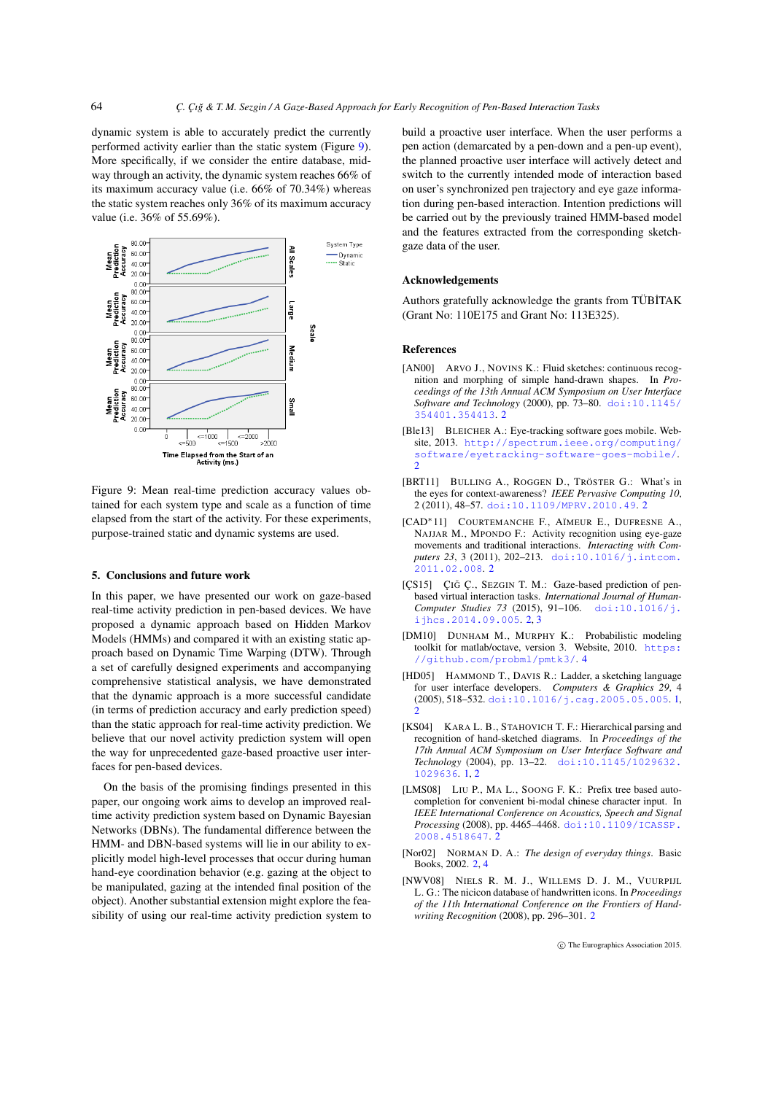dynamic system is able to accurately predict the currently performed activity earlier than the static system (Figure [9\)](#page-5-11). More specifically, if we consider the entire database, midway through an activity, the dynamic system reaches 66% of its maximum accuracy value (i.e. 66% of 70.34%) whereas the static system reaches only 36% of its maximum accuracy value (i.e. 36% of 55.69%).

<span id="page-5-11"></span>

Figure 9: Mean real-time prediction accuracy values obtained for each system type and scale as a function of time elapsed from the start of the activity. For these experiments, purpose-trained static and dynamic systems are used.

#### 5. Conclusions and future work

In this paper, we have presented our work on gaze-based real-time activity prediction in pen-based devices. We have proposed a dynamic approach based on Hidden Markov Models (HMMs) and compared it with an existing static approach based on Dynamic Time Warping (DTW). Through a set of carefully designed experiments and accompanying comprehensive statistical analysis, we have demonstrated that the dynamic approach is a more successful candidate (in terms of prediction accuracy and early prediction speed) than the static approach for real-time activity prediction. We believe that our novel activity prediction system will open the way for unprecedented gaze-based proactive user interfaces for pen-based devices.

On the basis of the promising findings presented in this paper, our ongoing work aims to develop an improved realtime activity prediction system based on Dynamic Bayesian Networks (DBNs). The fundamental difference between the HMM- and DBN-based systems will lie in our ability to explicitly model high-level processes that occur during human hand-eye coordination behavior (e.g. gazing at the object to be manipulated, gazing at the intended final position of the object). Another substantial extension might explore the feasibility of using our real-time activity prediction system to build a proactive user interface. When the user performs a pen action (demarcated by a pen-down and a pen-up event), the planned proactive user interface will actively detect and switch to the currently intended mode of interaction based on user's synchronized pen trajectory and eye gaze information during pen-based interaction. Intention predictions will be carried out by the previously trained HMM-based model and the features extracted from the corresponding sketchgaze data of the user.

#### Acknowledgements

Authors gratefully acknowledge the grants from TÜBİTAK (Grant No: 110E175 and Grant No: 113E325).

#### <span id="page-5-6"></span>References

- [AN00] ARVO J., NOVINS K.: Fluid sketches: continuous recognition and morphing of simple hand-drawn shapes. In *Proceedings of the 13th Annual ACM Symposium on User Interface Software and Technology* (2000), pp. 73–80. [doi:10.1145/](http://dx.doi.org/10.1145/354401.354413) [354401.354413](http://dx.doi.org/10.1145/354401.354413). [2](#page-1-1)
- <span id="page-5-5"></span>[Ble13] BLEICHER A.: Eye-tracking software goes mobile. Website, 2013. [http://spectrum.ieee.org/computing/](http://spectrum.ieee.org/computing/software/eyetracking-software-goes-mobile/) [software/eyetracking-software-goes-mobile/](http://spectrum.ieee.org/computing/software/eyetracking-software-goes-mobile/). [2](#page-1-1)
- <span id="page-5-9"></span><span id="page-5-8"></span>[BRT11] BULLING A., ROGGEN D., TRÖSTER G.: What's in the eyes for context-awareness? *IEEE Pervasive Computing 10*, 2 (2011), 48–57. [doi:10.1109/MPRV.2010.49](http://dx.doi.org/10.1109/MPRV.2010.49). [2](#page-1-1)
- [CAD∗11] COURTEMANCHE F., AÏMEUR E., DUFRESNE A., NAJJAR M., MPONDO F.: Activity recognition using eye-gaze movements and traditional interactions. *Interacting with Com*puters 23, 3 (2011), 202-213. [doi:10.1016/j.intcom.](http://dx.doi.org/10.1016/j.intcom.2011.02.008) [2011.02.008](http://dx.doi.org/10.1016/j.intcom.2011.02.008). [2](#page-1-1)
- <span id="page-5-3"></span>[ÇS15] ÇIĞ Ç., SEZGIN T. M.: Gaze-based prediction of penbased virtual interaction tasks. *International Journal of Human-Computer Studies 73* (2015), 91–106. [doi:10.1016/j.](http://dx.doi.org/10.1016/j.ijhcs.2014.09.005) [ijhcs.2014.09.005](http://dx.doi.org/10.1016/j.ijhcs.2014.09.005). [2,](#page-1-1) [3](#page-2-4)
- <span id="page-5-10"></span><span id="page-5-1"></span>[DM10] DUNHAM M., MURPHY K.: Probabilistic modeling toolkit for matlab/octave, version 3. Website, 2010. [https:](https://github.com/probml/pmtk3/) [//github.com/probml/pmtk3/](https://github.com/probml/pmtk3/). [4](#page-3-2)
- [HD05] HAMMOND T., DAVIS R.: Ladder, a sketching language for user interface developers. *Computers & Graphics 29*, 4 (2005), 518–532. [doi:10.1016/j.cag.2005.05.005](http://dx.doi.org/10.1016/j.cag.2005.05.005). [1,](#page-0-0) [2](#page-1-1)
- <span id="page-5-0"></span>[KS04] KARA L. B., STAHOVICH T. F.: Hierarchical parsing and recognition of hand-sketched diagrams. In *Proceedings of the 17th Annual ACM Symposium on User Interface Software and Technology* (2004), pp. 13–22. [doi:10.1145/1029632.](http://dx.doi.org/10.1145/1029632.1029636) [1029636](http://dx.doi.org/10.1145/1029632.1029636). [1,](#page-0-0) [2](#page-1-1)
- <span id="page-5-7"></span>[LMS08] LIU P., MA L., SOONG F. K.: Prefix tree based autocompletion for convenient bi-modal chinese character input. In *IEEE International Conference on Acoustics, Speech and Signal Processing* (2008), pp. 4465–4468. [doi:10.1109/ICASSP.](http://dx.doi.org/10.1109/ICASSP.2008.4518647) [2008.4518647](http://dx.doi.org/10.1109/ICASSP.2008.4518647). [2](#page-1-1)
- <span id="page-5-4"></span><span id="page-5-2"></span>[Nor02] NORMAN D. A.: *The design of everyday things*. Basic Books, 2002. [2,](#page-1-1) [4](#page-3-2)
- [NWV08] NIELS R. M. J., WILLEMS D. J. M., VUURPIJL L. G.: The nicicon database of handwritten icons. In *Proceedings of the 11th International Conference on the Frontiers of Handwriting Recognition* (2008), pp. 296–301. [2](#page-1-1)

c The Eurographics Association 2015.